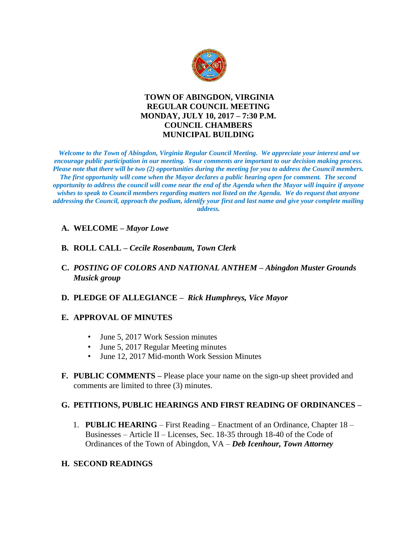

#### **TOWN OF ABINGDON, VIRGINIA REGULAR COUNCIL MEETING MONDAY, JULY 10, 2017 – 7:30 P.M. COUNCIL CHAMBERS MUNICIPAL BUILDING**

*Welcome to the Town of Abingdon, Virginia Regular Council Meeting. We appreciate your interest and we encourage public participation in our meeting. Your comments are important to our decision making process. Please note that there will be two (2) opportunities during the meeting for you to address the Council members. The first opportunity will come when the Mayor declares a public hearing open for comment. The second opportunity to address the council will come near the end of the Agenda when the Mayor will inquire if anyone wishes to speak to Council members regarding matters not listed on the Agenda. We do request that anyone addressing the Council, approach the podium, identify your first and last name and give your complete mailing address.* 

- **A. WELCOME –** *Mayor Lowe*
- **B. ROLL CALL –** *Cecile Rosenbaum, Town Clerk*
- **C.** *POSTING OF COLORS AND NATIONAL ANTHEM – Abingdon Muster Grounds Musick group*
- **D. PLEDGE OF ALLEGIANCE** *Rick Humphreys, Vice Mayor*

#### **E. APPROVAL OF MINUTES**

- June 5, 2017 Work Session minutes
- June 5, 2017 Regular Meeting minutes
- June 12, 2017 Mid-month Work Session Minutes
- **F. PUBLIC COMMENTS –** Please place your name on the sign-up sheet provided and comments are limited to three (3) minutes.

#### **G. PETITIONS, PUBLIC HEARINGS AND FIRST READING OF ORDINANCES –**

1. **PUBLIC HEARING** – First Reading – Enactment of an Ordinance, Chapter 18 – Businesses – Article II – Licenses, Sec. 18-35 through 18-40 of the Code of Ordinances of the Town of Abingdon, VA – *Deb Icenhour, Town Attorney*

#### **H. SECOND READINGS**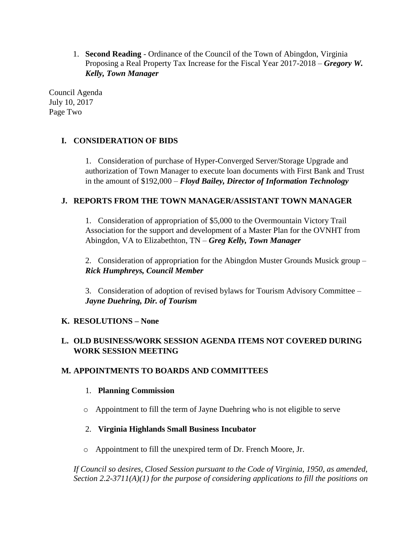1. **Second Reading** - Ordinance of the Council of the Town of Abingdon, Virginia Proposing a Real Property Tax Increase for the Fiscal Year 2017-2018 – *Gregory W. Kelly, Town Manager*

Council Agenda July 10, 2017 Page Two

# **I. CONSIDERATION OF BIDS**

1. Consideration of purchase of Hyper-Converged Server/Storage Upgrade and authorization of Town Manager to execute loan documents with First Bank and Trust in the amount of \$192,000 – *Floyd Bailey, Director of Information Technology*

# **J. REPORTS FROM THE TOWN MANAGER/ASSISTANT TOWN MANAGER**

1. Consideration of appropriation of \$5,000 to the Overmountain Victory Trail Association for the support and development of a Master Plan for the OVNHT from Abingdon, VA to Elizabethton, TN – *Greg Kelly, Town Manager*

2. Consideration of appropriation for the Abingdon Muster Grounds Musick group – *Rick Humphreys, Council Member*

3. Consideration of adoption of revised bylaws for Tourism Advisory Committee – *Jayne Duehring, Dir. of Tourism* 

# **K. RESOLUTIONS – None**

# **L. OLD BUSINESS/WORK SESSION AGENDA ITEMS NOT COVERED DURING WORK SESSION MEETING**

# **M. APPOINTMENTS TO BOARDS AND COMMITTEES**

# 1. **Planning Commission**

o Appointment to fill the term of Jayne Duehring who is not eligible to serve

# 2. **Virginia Highlands Small Business Incubator**

o Appointment to fill the unexpired term of Dr. French Moore, Jr.

*If Council so desires, Closed Session pursuant to the Code of Virginia, 1950, as amended, Section 2.2-3711(A)(1) for the purpose of considering applications to fill the positions on*